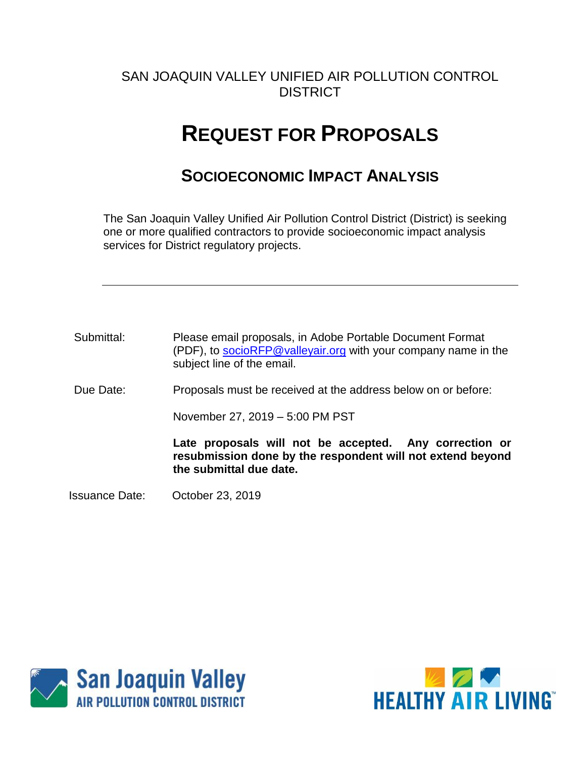# SAN JOAQUIN VALLEY UNIFIED AIR POLLUTION CONTROL **DISTRICT**

# **REQUEST FOR PROPOSALS**

# **SOCIOECONOMIC IMPACT ANALYSIS**

The San Joaquin Valley Unified Air Pollution Control District (District) is seeking one or more qualified contractors to provide socioeconomic impact analysis services for District regulatory projects.

Submittal: Please email proposals, in Adobe Portable Document Format (PDF), to [socioRFP@valleyair.org](mailto:socioRFP@valleyair.org) with your company name in the subject line of the email. Due Date: Proposals must be received at the address below on or before:

November 27, 2019 – 5:00 PM PST

**Late proposals will not be accepted. Any correction or resubmission done by the respondent will not extend beyond the submittal due date.**

Issuance Date: October 23, 2019



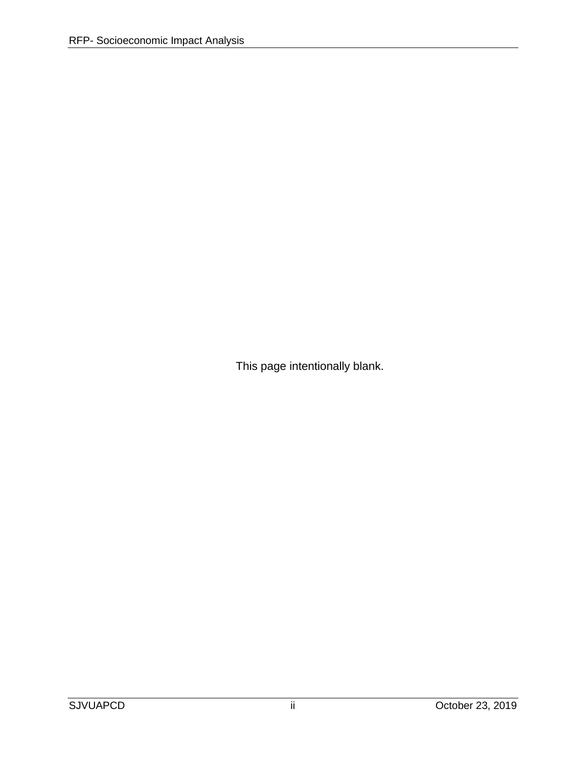This page intentionally blank.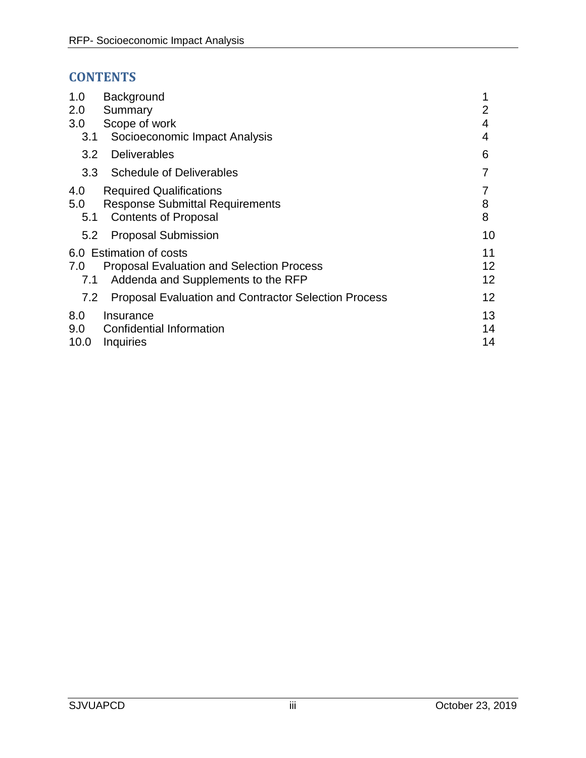# **CONTENTS**

| 1.0  | Background                                                  |    |
|------|-------------------------------------------------------------|----|
| 2.0  | Summary                                                     | 2  |
| 3.0  | Scope of work                                               | 4  |
| 3.1  | Socioeconomic Impact Analysis                               | 4  |
| 3.2  | <b>Deliverables</b>                                         | 6  |
| 3.3  | <b>Schedule of Deliverables</b>                             |    |
| 4.0  | <b>Required Qualifications</b>                              |    |
| 5.0  | <b>Response Submittal Requirements</b>                      | 8  |
| 5.1  | <b>Contents of Proposal</b>                                 | 8  |
| 5.2  | <b>Proposal Submission</b>                                  | 10 |
|      | 6.0 Estimation of costs                                     | 11 |
| 7.0  | <b>Proposal Evaluation and Selection Process</b>            | 12 |
| 7.1  | Addenda and Supplements to the RFP                          | 12 |
| 7.2  | <b>Proposal Evaluation and Contractor Selection Process</b> | 12 |
| 8.0  | Insurance                                                   | 13 |
| 9.0  | Confidential Information                                    | 14 |
| 10.0 | <b>Inquiries</b>                                            | 14 |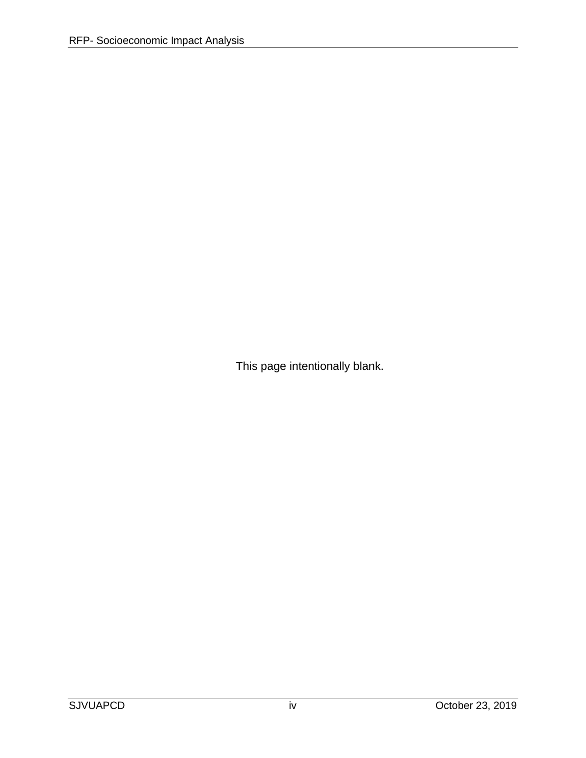This page intentionally blank.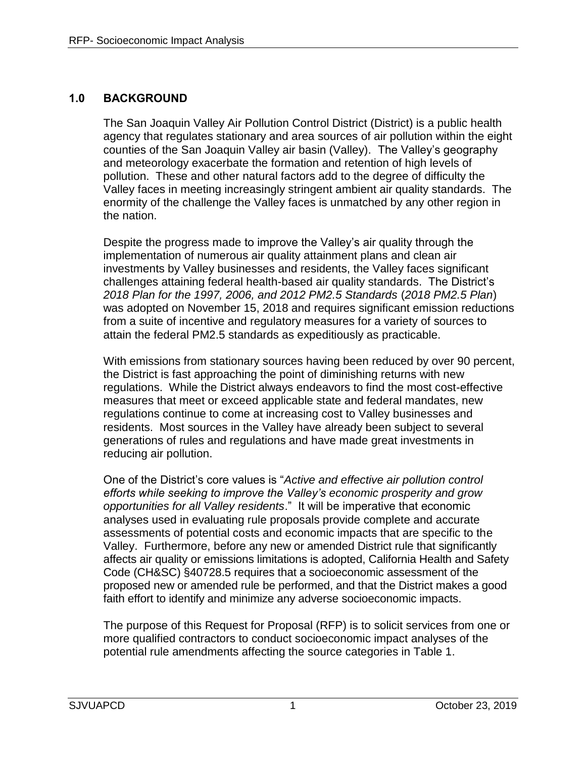## <span id="page-4-0"></span>**1.0 BACKGROUND**

The San Joaquin Valley Air Pollution Control District (District) is a public health agency that regulates stationary and area sources of air pollution within the eight counties of the San Joaquin Valley air basin (Valley). The Valley's geography and meteorology exacerbate the formation and retention of high levels of pollution. These and other natural factors add to the degree of difficulty the Valley faces in meeting increasingly stringent ambient air quality standards. The enormity of the challenge the Valley faces is unmatched by any other region in the nation.

Despite the progress made to improve the Valley's air quality through the implementation of numerous air quality attainment plans and clean air investments by Valley businesses and residents, the Valley faces significant challenges attaining federal health-based air quality standards. The District's *2018 Plan for the 1997, 2006, and 2012 PM2.5 Standards* (*2018 PM2.5 Plan*) was adopted on November 15, 2018 and requires significant emission reductions from a suite of incentive and regulatory measures for a variety of sources to attain the federal PM2.5 standards as expeditiously as practicable.

With emissions from stationary sources having been reduced by over 90 percent, the District is fast approaching the point of diminishing returns with new regulations. While the District always endeavors to find the most cost-effective measures that meet or exceed applicable state and federal mandates, new regulations continue to come at increasing cost to Valley businesses and residents. Most sources in the Valley have already been subject to several generations of rules and regulations and have made great investments in reducing air pollution.

One of the District's core values is "*Active and effective air pollution control efforts while seeking to improve the Valley's economic prosperity and grow opportunities for all Valley residents*." It will be imperative that economic analyses used in evaluating rule proposals provide complete and accurate assessments of potential costs and economic impacts that are specific to the Valley. Furthermore, before any new or amended District rule that significantly affects air quality or emissions limitations is adopted, California Health and Safety Code (CH&SC) §40728.5 requires that a socioeconomic assessment of the proposed new or amended rule be performed, and that the District makes a good faith effort to identify and minimize any adverse socioeconomic impacts.

The purpose of this Request for Proposal (RFP) is to solicit services from one or more qualified contractors to conduct socioeconomic impact analyses of the potential rule amendments affecting the source categories in Table 1.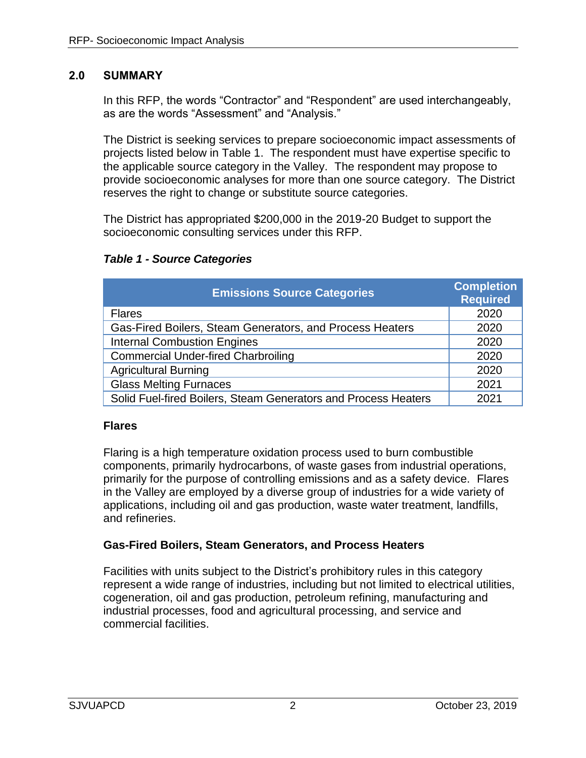#### <span id="page-5-0"></span>**2.0 SUMMARY**

In this RFP, the words "Contractor" and "Respondent" are used interchangeably, as are the words "Assessment" and "Analysis."

The District is seeking services to prepare socioeconomic impact assessments of projects listed below in Table 1. The respondent must have expertise specific to the applicable source category in the Valley. The respondent may propose to provide socioeconomic analyses for more than one source category. The District reserves the right to change or substitute source categories.

The District has appropriated \$200,000 in the 2019-20 Budget to support the socioeconomic consulting services under this RFP.

#### *Table 1 - Source Categories*

| <b>Emissions Source Categories</b>                             | <b>Completion</b><br><b>Required</b> |
|----------------------------------------------------------------|--------------------------------------|
| <b>Flares</b>                                                  | 2020                                 |
| Gas-Fired Boilers, Steam Generators, and Process Heaters       | 2020                                 |
| <b>Internal Combustion Engines</b>                             | 2020                                 |
| <b>Commercial Under-fired Charbroiling</b>                     | 2020                                 |
| <b>Agricultural Burning</b>                                    | 2020                                 |
| <b>Glass Melting Furnaces</b>                                  | 2021                                 |
| Solid Fuel-fired Boilers, Steam Generators and Process Heaters | 2021                                 |

#### **Flares**

Flaring is a high temperature oxidation process used to burn combustible components, primarily hydrocarbons, of waste gases from industrial operations, primarily for the purpose of controlling emissions and as a safety device. Flares in the Valley are employed by a diverse group of industries for a wide variety of applications, including oil and gas production, waste water treatment, landfills, and refineries.

#### **Gas-Fired Boilers, Steam Generators, and Process Heaters**

Facilities with units subject to the District's prohibitory rules in this category represent a wide range of industries, including but not limited to electrical utilities, cogeneration, oil and gas production, petroleum refining, manufacturing and industrial processes, food and agricultural processing, and service and commercial facilities.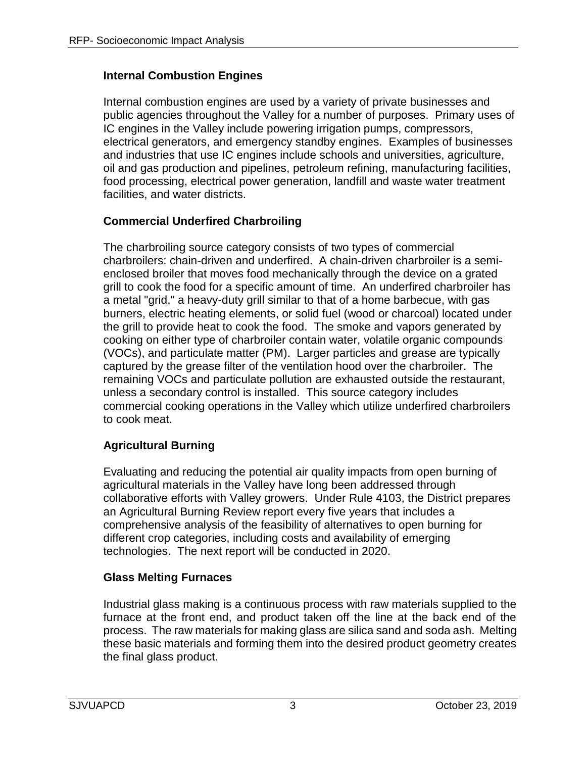## **Internal Combustion Engines**

Internal combustion engines are used by a variety of private businesses and public agencies throughout the Valley for a number of purposes. Primary uses of IC engines in the Valley include powering irrigation pumps, compressors, electrical generators, and emergency standby engines. Examples of businesses and industries that use IC engines include schools and universities, agriculture, oil and gas production and pipelines, petroleum refining, manufacturing facilities, food processing, electrical power generation, landfill and waste water treatment facilities, and water districts.

### **Commercial Underfired Charbroiling**

The charbroiling source category consists of two types of commercial charbroilers: chain-driven and underfired. A chain-driven charbroiler is a semienclosed broiler that moves food mechanically through the device on a grated grill to cook the food for a specific amount of time. An underfired charbroiler has a metal "grid," a heavy-duty grill similar to that of a home barbecue, with gas burners, electric heating elements, or solid fuel (wood or charcoal) located under the grill to provide heat to cook the food. The smoke and vapors generated by cooking on either type of charbroiler contain water, volatile organic compounds (VOCs), and particulate matter (PM). Larger particles and grease are typically captured by the grease filter of the ventilation hood over the charbroiler. The remaining VOCs and particulate pollution are exhausted outside the restaurant, unless a secondary control is installed. This source category includes commercial cooking operations in the Valley which utilize underfired charbroilers to cook meat.

# **Agricultural Burning**

Evaluating and reducing the potential air quality impacts from open burning of agricultural materials in the Valley have long been addressed through collaborative efforts with Valley growers. Under Rule 4103, the District prepares an Agricultural Burning Review report every five years that includes a comprehensive analysis of the feasibility of alternatives to open burning for different crop categories, including costs and availability of emerging technologies. The next report will be conducted in 2020.

#### **Glass Melting Furnaces**

Industrial glass making is a continuous process with raw materials supplied to the furnace at the front end, and product taken off the line at the back end of the process. The raw materials for making glass are silica sand and soda ash. Melting these basic materials and forming them into the desired product geometry creates the final glass product.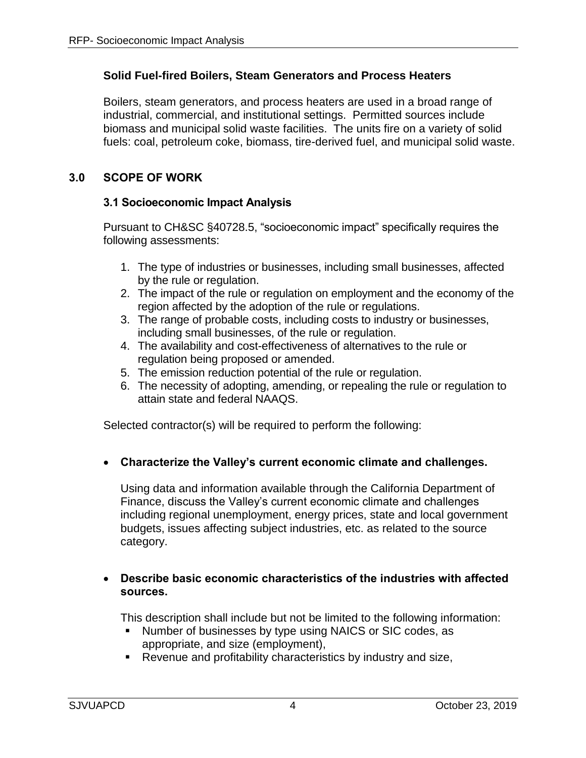#### **Solid Fuel-fired Boilers, Steam Generators and Process Heaters**

Boilers, steam generators, and process heaters are used in a broad range of industrial, commercial, and institutional settings. Permitted sources include biomass and municipal solid waste facilities. The units fire on a variety of solid fuels: coal, petroleum coke, biomass, tire-derived fuel, and municipal solid waste.

#### <span id="page-7-1"></span><span id="page-7-0"></span>**3.0 SCOPE OF WORK**

#### **3.1 Socioeconomic Impact Analysis**

Pursuant to CH&SC §40728.5, "socioeconomic impact" specifically requires the following assessments:

- 1. The type of industries or businesses, including small businesses, affected by the rule or regulation.
- 2. The impact of the rule or regulation on employment and the economy of the region affected by the adoption of the rule or regulations.
- 3. The range of probable costs, including costs to industry or businesses, including small businesses, of the rule or regulation.
- 4. The availability and cost-effectiveness of alternatives to the rule or regulation being proposed or amended.
- 5. The emission reduction potential of the rule or regulation.
- 6. The necessity of adopting, amending, or repealing the rule or regulation to attain state and federal NAAQS.

Selected contractor(s) will be required to perform the following:

#### **Characterize the Valley's current economic climate and challenges.**

Using data and information available through the California Department of Finance, discuss the Valley's current economic climate and challenges including regional unemployment, energy prices, state and local government budgets, issues affecting subject industries, etc. as related to the source category.

#### **Describe basic economic characteristics of the industries with affected sources.**

This description shall include but not be limited to the following information:

- **Number of businesses by type using NAICS or SIC codes, as** appropriate, and size (employment),
- **Revenue and profitability characteristics by industry and size,**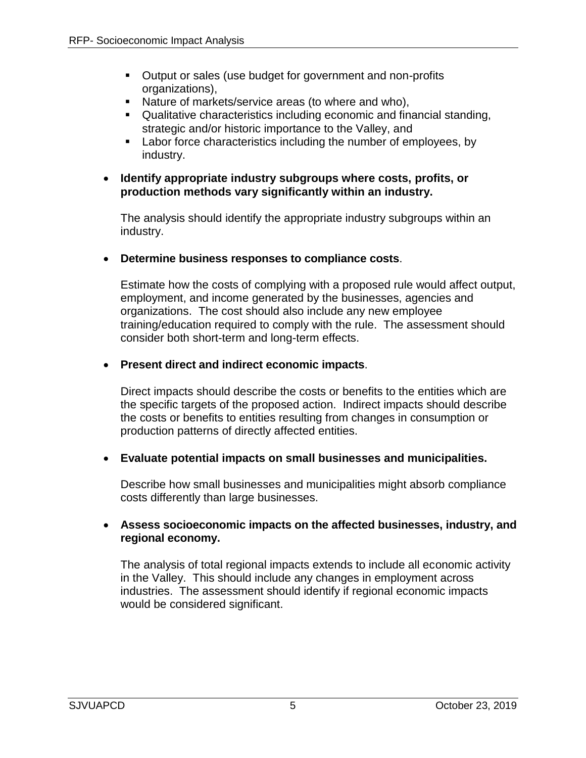- **Output or sales (use budget for government and non-profits** organizations),
- Nature of markets/service areas (to where and who),
- Qualitative characteristics including economic and financial standing, strategic and/or historic importance to the Valley, and
- **Labor force characteristics including the number of employees, by** industry.

#### **Identify appropriate industry subgroups where costs, profits, or production methods vary significantly within an industry.**

The analysis should identify the appropriate industry subgroups within an industry.

**Determine business responses to compliance costs**.

Estimate how the costs of complying with a proposed rule would affect output, employment, and income generated by the businesses, agencies and organizations. The cost should also include any new employee training/education required to comply with the rule. The assessment should consider both short-term and long-term effects.

**Present direct and indirect economic impacts**.

Direct impacts should describe the costs or benefits to the entities which are the specific targets of the proposed action. Indirect impacts should describe the costs or benefits to entities resulting from changes in consumption or production patterns of directly affected entities.

#### **Evaluate potential impacts on small businesses and municipalities.**

Describe how small businesses and municipalities might absorb compliance costs differently than large businesses.

#### **Assess socioeconomic impacts on the affected businesses, industry, and regional economy.**

The analysis of total regional impacts extends to include all economic activity in the Valley. This should include any changes in employment across industries. The assessment should identify if regional economic impacts would be considered significant.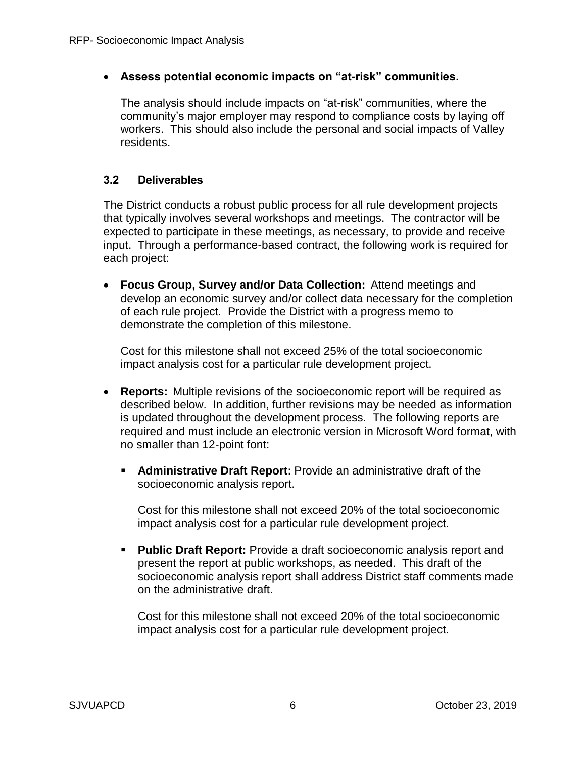#### **Assess potential economic impacts on "at-risk" communities.**

The analysis should include impacts on "at-risk" communities, where the community's major employer may respond to compliance costs by laying off workers. This should also include the personal and social impacts of Valley residents.

## <span id="page-9-0"></span>**3.2 Deliverables**

The District conducts a robust public process for all rule development projects that typically involves several workshops and meetings. The contractor will be expected to participate in these meetings, as necessary, to provide and receive input. Through a performance-based contract, the following work is required for each project:

 **Focus Group, Survey and/or Data Collection:** Attend meetings and develop an economic survey and/or collect data necessary for the completion of each rule project. Provide the District with a progress memo to demonstrate the completion of this milestone.

Cost for this milestone shall not exceed 25% of the total socioeconomic impact analysis cost for a particular rule development project.

- **Reports:** Multiple revisions of the socioeconomic report will be required as described below. In addition, further revisions may be needed as information is updated throughout the development process. The following reports are required and must include an electronic version in Microsoft Word format, with no smaller than 12-point font:
	- **Administrative Draft Report:** Provide an administrative draft of the socioeconomic analysis report.

Cost for this milestone shall not exceed 20% of the total socioeconomic impact analysis cost for a particular rule development project.

 **Public Draft Report:** Provide a draft socioeconomic analysis report and present the report at public workshops, as needed. This draft of the socioeconomic analysis report shall address District staff comments made on the administrative draft.

Cost for this milestone shall not exceed 20% of the total socioeconomic impact analysis cost for a particular rule development project.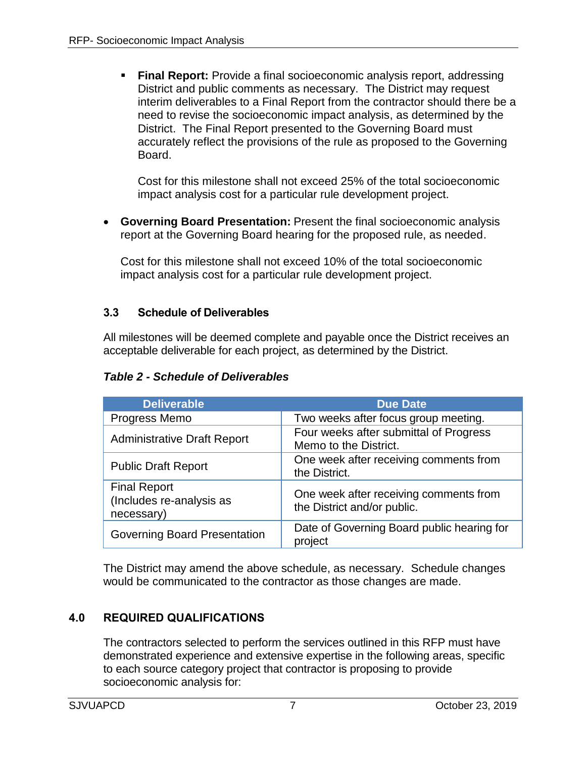**Final Report:** Provide a final socioeconomic analysis report, addressing District and public comments as necessary. The District may request interim deliverables to a Final Report from the contractor should there be a need to revise the socioeconomic impact analysis, as determined by the District. The Final Report presented to the Governing Board must accurately reflect the provisions of the rule as proposed to the Governing Board.

Cost for this milestone shall not exceed 25% of the total socioeconomic impact analysis cost for a particular rule development project.

 **Governing Board Presentation:** Present the final socioeconomic analysis report at the Governing Board hearing for the proposed rule, as needed.

Cost for this milestone shall not exceed 10% of the total socioeconomic impact analysis cost for a particular rule development project.

# <span id="page-10-0"></span>**3.3 Schedule of Deliverables**

All milestones will be deemed complete and payable once the District receives an acceptable deliverable for each project, as determined by the District.

# *Table 2 - Schedule of Deliverables*

| <b>Deliverable</b>                                            | <b>Due Date</b>                                                       |
|---------------------------------------------------------------|-----------------------------------------------------------------------|
| Progress Memo                                                 | Two weeks after focus group meeting.                                  |
| <b>Administrative Draft Report</b>                            | Four weeks after submittal of Progress<br>Memo to the District.       |
| <b>Public Draft Report</b>                                    | One week after receiving comments from<br>the District.               |
| <b>Final Report</b><br>(Includes re-analysis as<br>necessary) | One week after receiving comments from<br>the District and/or public. |
| <b>Governing Board Presentation</b>                           | Date of Governing Board public hearing for<br>project                 |

The District may amend the above schedule, as necessary. Schedule changes would be communicated to the contractor as those changes are made.

# <span id="page-10-1"></span>**4.0 REQUIRED QUALIFICATIONS**

The contractors selected to perform the services outlined in this RFP must have demonstrated experience and extensive expertise in the following areas, specific to each source category project that contractor is proposing to provide socioeconomic analysis for: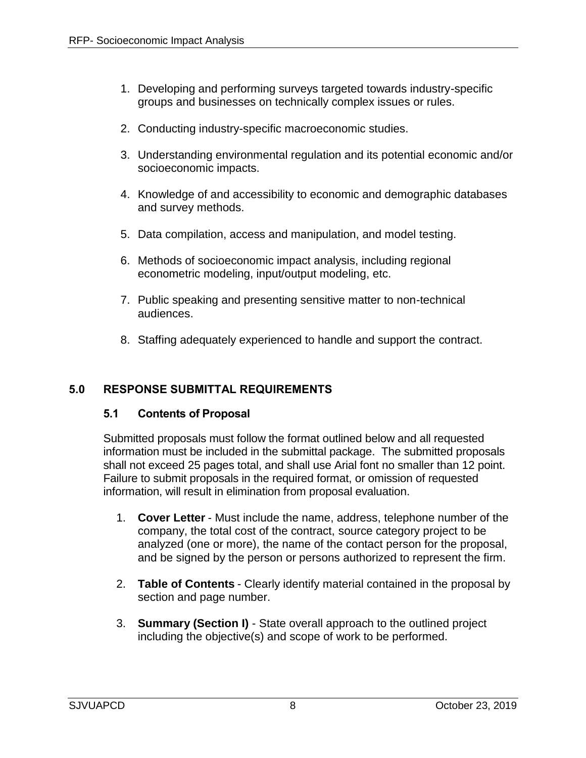- 1. Developing and performing surveys targeted towards industry-specific groups and businesses on technically complex issues or rules.
- 2. Conducting industry-specific macroeconomic studies.
- 3. Understanding environmental regulation and its potential economic and/or socioeconomic impacts.
- 4. Knowledge of and accessibility to economic and demographic databases and survey methods.
- 5. Data compilation, access and manipulation, and model testing.
- 6. Methods of socioeconomic impact analysis, including regional econometric modeling, input/output modeling, etc.
- 7. Public speaking and presenting sensitive matter to non-technical audiences.
- 8. Staffing adequately experienced to handle and support the contract.

#### <span id="page-11-1"></span><span id="page-11-0"></span>**5.0 RESPONSE SUBMITTAL REQUIREMENTS**

#### **5.1 Contents of Proposal**

Submitted proposals must follow the format outlined below and all requested information must be included in the submittal package. The submitted proposals shall not exceed 25 pages total, and shall use Arial font no smaller than 12 point. Failure to submit proposals in the required format, or omission of requested information, will result in elimination from proposal evaluation.

- 1. **Cover Letter** Must include the name, address, telephone number of the company, the total cost of the contract, source category project to be analyzed (one or more), the name of the contact person for the proposal, and be signed by the person or persons authorized to represent the firm.
- 2. **Table of Contents** Clearly identify material contained in the proposal by section and page number.
- 3. **Summary (Section I)** State overall approach to the outlined project including the objective(s) and scope of work to be performed.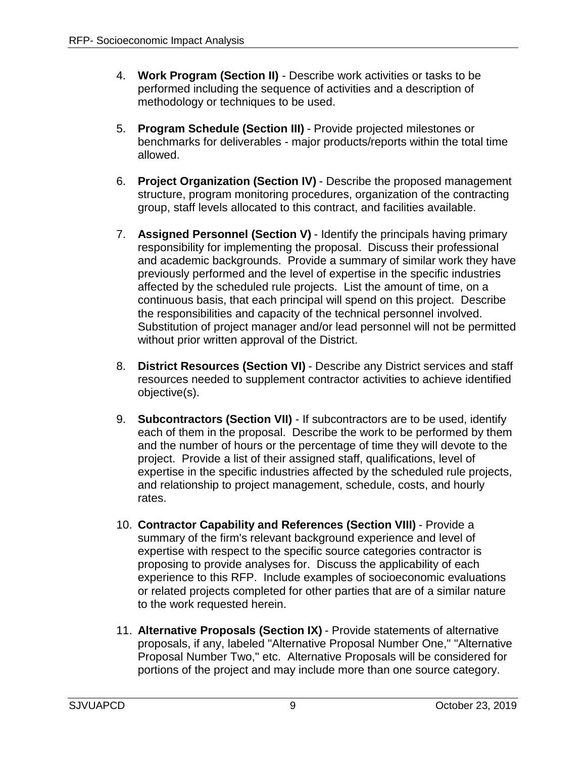- 4. **Work Program (Section II)**  Describe work activities or tasks to be performed including the sequence of activities and a description of methodology or techniques to be used.
- 5. **Program Schedule (Section III)** Provide projected milestones or benchmarks for deliverables - major products/reports within the total time allowed.
- 6. **Project Organization (Section IV)** Describe the proposed management structure, program monitoring procedures, organization of the contracting group, staff levels allocated to this contract, and facilities available.
- 7. **Assigned Personnel (Section V)** Identify the principals having primary responsibility for implementing the proposal. Discuss their professional and academic backgrounds. Provide a summary of similar work they have previously performed and the level of expertise in the specific industries affected by the scheduled rule projects. List the amount of time, on a continuous basis, that each principal will spend on this project. Describe the responsibilities and capacity of the technical personnel involved. Substitution of project manager and/or lead personnel will not be permitted without prior written approval of the District.
- 8. **District Resources (Section VI)** Describe any District services and staff resources needed to supplement contractor activities to achieve identified objective(s).
- 9. **Subcontractors (Section VII)**  If subcontractors are to be used, identify each of them in the proposal. Describe the work to be performed by them and the number of hours or the percentage of time they will devote to the project. Provide a list of their assigned staff, qualifications, level of expertise in the specific industries affected by the scheduled rule projects, and relationship to project management, schedule, costs, and hourly rates.
- 10. **Contractor Capability and References (Section VIII)** Provide a summary of the firm's relevant background experience and level of expertise with respect to the specific source categories contractor is proposing to provide analyses for. Discuss the applicability of each experience to this RFP. Include examples of socioeconomic evaluations or related projects completed for other parties that are of a similar nature to the work requested herein.
- 11. **Alternative Proposals (Section IX)** Provide statements of alternative proposals, if any, labeled "Alternative Proposal Number One," "Alternative Proposal Number Two," etc. Alternative Proposals will be considered for portions of the project and may include more than one source category.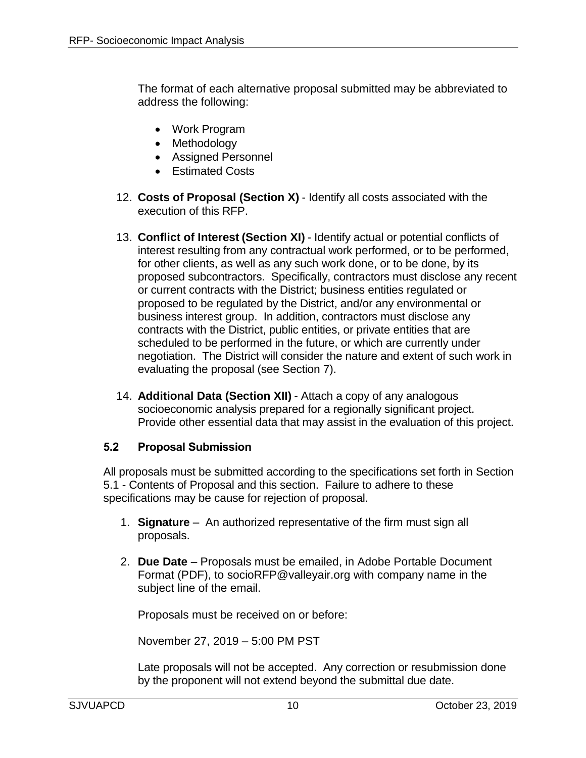The format of each alternative proposal submitted may be abbreviated to address the following:

- Work Program
- Methodology
- Assigned Personnel
- Estimated Costs
- 12. **Costs of Proposal (Section X)** Identify all costs associated with the execution of this RFP.
- 13. **Conflict of Interest (Section XI)** Identify actual or potential conflicts of interest resulting from any contractual work performed, or to be performed, for other clients, as well as any such work done, or to be done, by its proposed subcontractors. Specifically, contractors must disclose any recent or current contracts with the District; business entities regulated or proposed to be regulated by the District, and/or any environmental or business interest group. In addition, contractors must disclose any contracts with the District, public entities, or private entities that are scheduled to be performed in the future, or which are currently under negotiation. The District will consider the nature and extent of such work in evaluating the proposal (see Section 7).
- 14. **Additional Data (Section XII)** Attach a copy of any analogous socioeconomic analysis prepared for a regionally significant project. Provide other essential data that may assist in the evaluation of this project.

#### <span id="page-13-0"></span>**5.2 Proposal Submission**

All proposals must be submitted according to the specifications set forth in Section 5.1 - Contents of Proposal and this section. Failure to adhere to these specifications may be cause for rejection of proposal.

- 1. **Signature** An authorized representative of the firm must sign all proposals.
- 2. **Due Date** Proposals must be emailed, in Adobe Portable Document Format (PDF), to socioRFP@valleyair.org with company name in the subject line of the email.

Proposals must be received on or before:

November 27, 2019 – 5:00 PM PST

Late proposals will not be accepted. Any correction or resubmission done by the proponent will not extend beyond the submittal due date.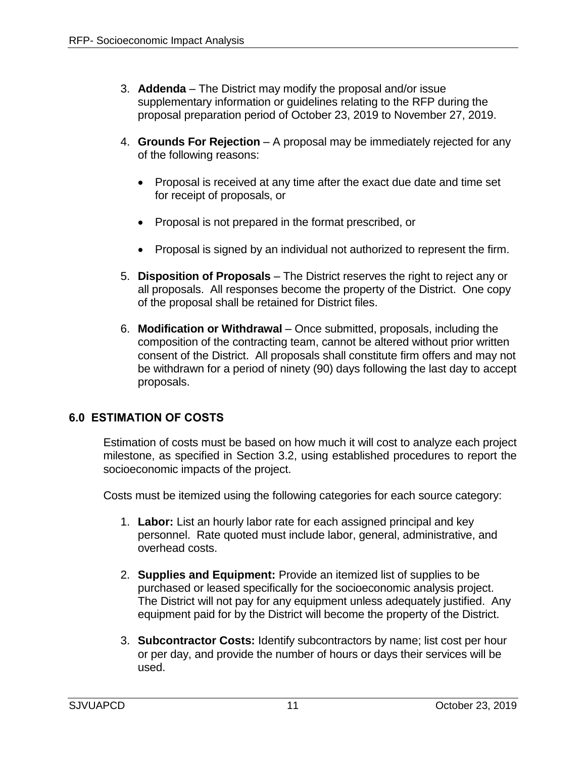- 3. **Addenda** The District may modify the proposal and/or issue supplementary information or guidelines relating to the RFP during the proposal preparation period of October 23, 2019 to November 27, 2019.
- 4. **Grounds For Rejection** A proposal may be immediately rejected for any of the following reasons:
	- Proposal is received at any time after the exact due date and time set for receipt of proposals, or
	- Proposal is not prepared in the format prescribed, or
	- Proposal is signed by an individual not authorized to represent the firm.
- 5. **Disposition of Proposals** The District reserves the right to reject any or all proposals. All responses become the property of the District. One copy of the proposal shall be retained for District files.
- 6. **Modification or Withdrawal** Once submitted, proposals, including the composition of the contracting team, cannot be altered without prior written consent of the District. All proposals shall constitute firm offers and may not be withdrawn for a period of ninety (90) days following the last day to accept proposals.

# <span id="page-14-0"></span>**6.0 ESTIMATION OF COSTS**

Estimation of costs must be based on how much it will cost to analyze each project milestone, as specified in Section 3.2, using established procedures to report the socioeconomic impacts of the project.

Costs must be itemized using the following categories for each source category:

- 1. **Labor:** List an hourly labor rate for each assigned principal and key personnel. Rate quoted must include labor, general, administrative, and overhead costs.
- 2. **Supplies and Equipment:** Provide an itemized list of supplies to be purchased or leased specifically for the socioeconomic analysis project. The District will not pay for any equipment unless adequately justified. Any equipment paid for by the District will become the property of the District.
- 3. **Subcontractor Costs:** Identify subcontractors by name; list cost per hour or per day, and provide the number of hours or days their services will be used.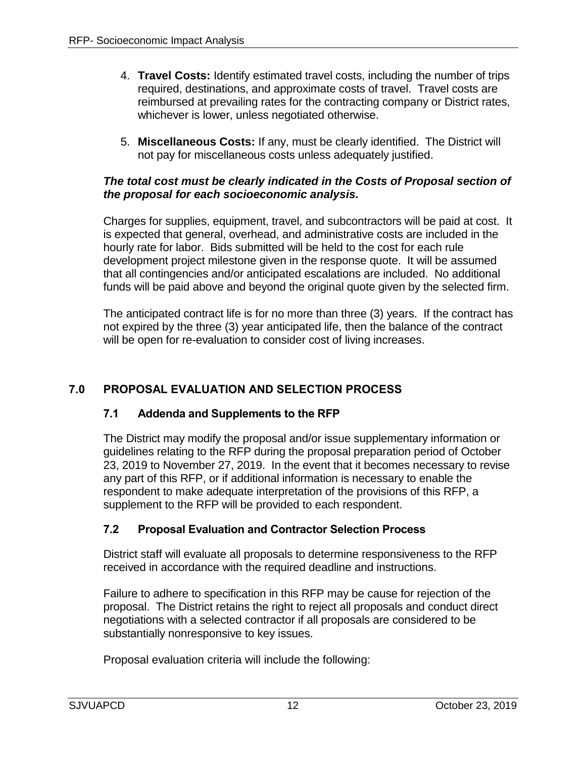- 4. **Travel Costs:** Identify estimated travel costs, including the number of trips required, destinations, and approximate costs of travel. Travel costs are reimbursed at prevailing rates for the contracting company or District rates, whichever is lower, unless negotiated otherwise.
- 5. **Miscellaneous Costs:** If any, must be clearly identified. The District will not pay for miscellaneous costs unless adequately justified.

#### *The total cost must be clearly indicated in the Costs of Proposal section of the proposal for each socioeconomic analysis.*

Charges for supplies, equipment, travel, and subcontractors will be paid at cost. It is expected that general, overhead, and administrative costs are included in the hourly rate for labor. Bids submitted will be held to the cost for each rule development project milestone given in the response quote. It will be assumed that all contingencies and/or anticipated escalations are included. No additional funds will be paid above and beyond the original quote given by the selected firm.

The anticipated contract life is for no more than three (3) years. If the contract has not expired by the three (3) year anticipated life, then the balance of the contract will be open for re-evaluation to consider cost of living increases.

# <span id="page-15-1"></span><span id="page-15-0"></span>**7.0 PROPOSAL EVALUATION AND SELECTION PROCESS**

#### **7.1 Addenda and Supplements to the RFP**

The District may modify the proposal and/or issue supplementary information or guidelines relating to the RFP during the proposal preparation period of October 23, 2019 to November 27, 2019. In the event that it becomes necessary to revise any part of this RFP, or if additional information is necessary to enable the respondent to make adequate interpretation of the provisions of this RFP, a supplement to the RFP will be provided to each respondent.

# <span id="page-15-2"></span>**7.2 Proposal Evaluation and Contractor Selection Process**

District staff will evaluate all proposals to determine responsiveness to the RFP received in accordance with the required deadline and instructions.

Failure to adhere to specification in this RFP may be cause for rejection of the proposal. The District retains the right to reject all proposals and conduct direct negotiations with a selected contractor if all proposals are considered to be substantially nonresponsive to key issues.

Proposal evaluation criteria will include the following: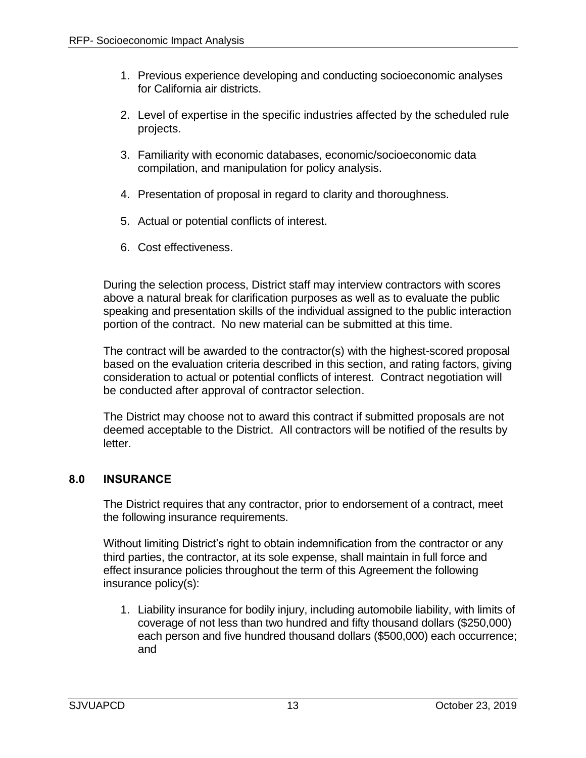- 1. Previous experience developing and conducting socioeconomic analyses for California air districts.
- 2. Level of expertise in the specific industries affected by the scheduled rule projects.
- 3. Familiarity with economic databases, economic/socioeconomic data compilation, and manipulation for policy analysis.
- 4. Presentation of proposal in regard to clarity and thoroughness.
- 5. Actual or potential conflicts of interest.
- 6. Cost effectiveness.

During the selection process, District staff may interview contractors with scores above a natural break for clarification purposes as well as to evaluate the public speaking and presentation skills of the individual assigned to the public interaction portion of the contract. No new material can be submitted at this time.

The contract will be awarded to the contractor(s) with the highest-scored proposal based on the evaluation criteria described in this section, and rating factors, giving consideration to actual or potential conflicts of interest. Contract negotiation will be conducted after approval of contractor selection.

The District may choose not to award this contract if submitted proposals are not deemed acceptable to the District. All contractors will be notified of the results by letter.

# <span id="page-16-0"></span>**8.0 INSURANCE**

The District requires that any contractor, prior to endorsement of a contract, meet the following insurance requirements.

Without limiting District's right to obtain indemnification from the contractor or any third parties, the contractor, at its sole expense, shall maintain in full force and effect insurance policies throughout the term of this Agreement the following insurance policy(s):

1. Liability insurance for bodily injury, including automobile liability, with limits of coverage of not less than two hundred and fifty thousand dollars (\$250,000) each person and five hundred thousand dollars (\$500,000) each occurrence; and